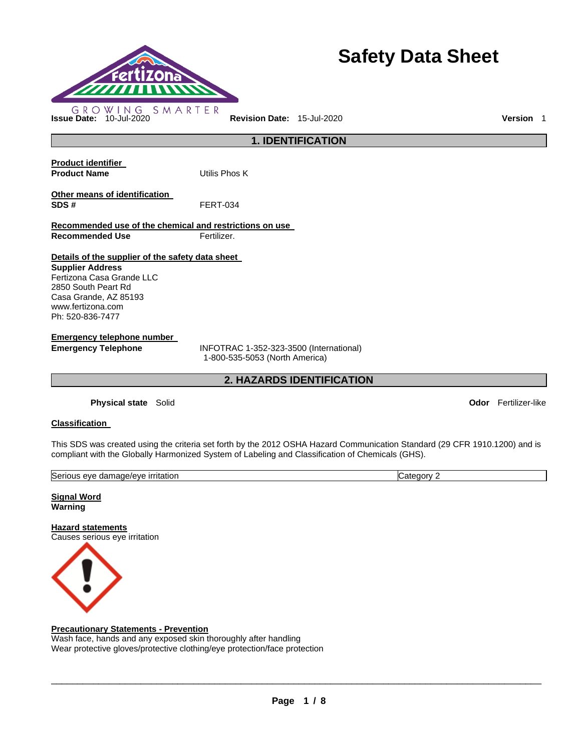

# **Safety Data Sheet**

**1. IDENTIFICATION Product identifier Product Name Utilis Phos K Other means of identification SDS #** FERT-034

**Recommended use of the chemical and restrictions on use Recommended Use Fertilizer.** 

# **Details of the supplier of the safety data sheet**

**Supplier Address** Fertizona Casa Grande LLC 2850 South Peart Rd Casa Grande, AZ 85193 www.fertizona.com Ph: 520-836-7477

**Emergency telephone number** 

**Emergency Telephone** INFOTRAC 1-352-323-3500 (International) 1-800-535-5053 (North America)

**2. HAZARDS IDENTIFICATION** 

**Physical state** Solid **Odor** Fertilizer-like

# **Classification**

This SDS was created using the criteria set forth by the 2012 OSHA Hazard Communication Standard (29 CFR 1910.1200) and is compliant with the Globally Harmonized System of Labeling and Classification of Chemicals (GHS).

| <b>Serious</b><br><u>irritation</u><br>e/eve<br>eve<br>aamade,<br>. | r<br>anr<br>∟דר |
|---------------------------------------------------------------------|-----------------|
|                                                                     |                 |

**Signal Word Warning** 

**Hazard statements** Causes serious eye irritation



# **Precautionary Statements - Prevention**

Wash face, hands and any exposed skin thoroughly after handling Wear protective gloves/protective clothing/eye protection/face protection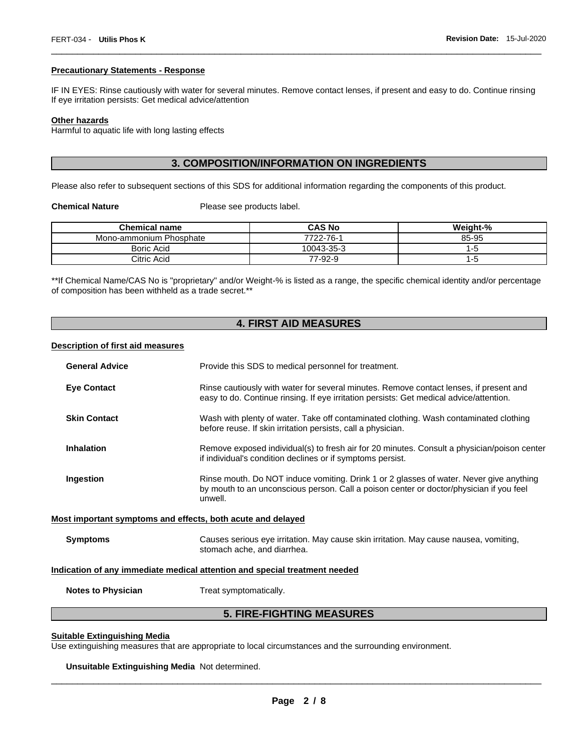#### **Precautionary Statements - Response**

IF IN EYES: Rinse cautiously with water for several minutes. Remove contact lenses, if present and easy to do. Continue rinsing If eye irritation persists: Get medical advice/attention

\_\_\_\_\_\_\_\_\_\_\_\_\_\_\_\_\_\_\_\_\_\_\_\_\_\_\_\_\_\_\_\_\_\_\_\_\_\_\_\_\_\_\_\_\_\_\_\_\_\_\_\_\_\_\_\_\_\_\_\_\_\_\_\_\_\_\_\_\_\_\_\_\_\_\_\_\_\_\_\_\_\_\_\_\_\_\_\_\_\_\_\_\_

## **Other hazards**

Harmful to aquatic life with long lasting effects

# **3. COMPOSITION/INFORMATION ON INGREDIENTS**

Please also refer to subsequent sections of this SDS for additional information regarding the components of this product.

**Chemical Nature**  Please see products label.

| <b>Chemical name</b>    | <b>CAS No</b> | Weight-% |
|-------------------------|---------------|----------|
| Mono-ammonium Phosphate | 7722-76-1     | 85-95    |
| <b>Boric Acid</b>       | 10043-35-3    | I-5      |
| Citric Acid             | 77-92-9       | -5       |

\*\*If Chemical Name/CAS No is "proprietary" and/or Weight-% is listed as a range, the specific chemical identity and/or percentage of composition has been withheld as a trade secret.\*\*

# **4. FIRST AID MEASURES**

#### **Description of first aid measures**

| <b>General Advice</b>                                                      | Provide this SDS to medical personnel for treatment.                                                                                                                                          |  |  |
|----------------------------------------------------------------------------|-----------------------------------------------------------------------------------------------------------------------------------------------------------------------------------------------|--|--|
| <b>Eye Contact</b>                                                         | Rinse cautiously with water for several minutes. Remove contact lenses, if present and<br>easy to do. Continue rinsing. If eye irritation persists: Get medical advice/attention.             |  |  |
| <b>Skin Contact</b>                                                        | Wash with plenty of water. Take off contaminated clothing. Wash contaminated clothing<br>before reuse. If skin irritation persists, call a physician.                                         |  |  |
| <b>Inhalation</b>                                                          | Remove exposed individual(s) to fresh air for 20 minutes. Consult a physician/poison center<br>if individual's condition declines or if symptoms persist.                                     |  |  |
| Ingestion                                                                  | Rinse mouth. Do NOT induce vomiting. Drink 1 or 2 glasses of water. Never give anything<br>by mouth to an unconscious person. Call a poison center or doctor/physician if you feel<br>unwell. |  |  |
| Most important symptoms and effects, both acute and delayed                |                                                                                                                                                                                               |  |  |
| <b>Symptoms</b>                                                            | Causes serious eye irritation. May cause skin irritation. May cause nausea, vomiting,<br>stomach ache, and diarrhea.                                                                          |  |  |
| Indication of any immediate medical attention and special treatment needed |                                                                                                                                                                                               |  |  |
| <b>Notes to Physician</b>                                                  | Treat symptomatically.                                                                                                                                                                        |  |  |
|                                                                            |                                                                                                                                                                                               |  |  |

# **5. FIRE-FIGHTING MEASURES**

#### **Suitable Extinguishing Media**

Use extinguishing measures that are appropriate to local circumstances and the surrounding environment.

**Unsuitable Extinguishing Media** Not determined.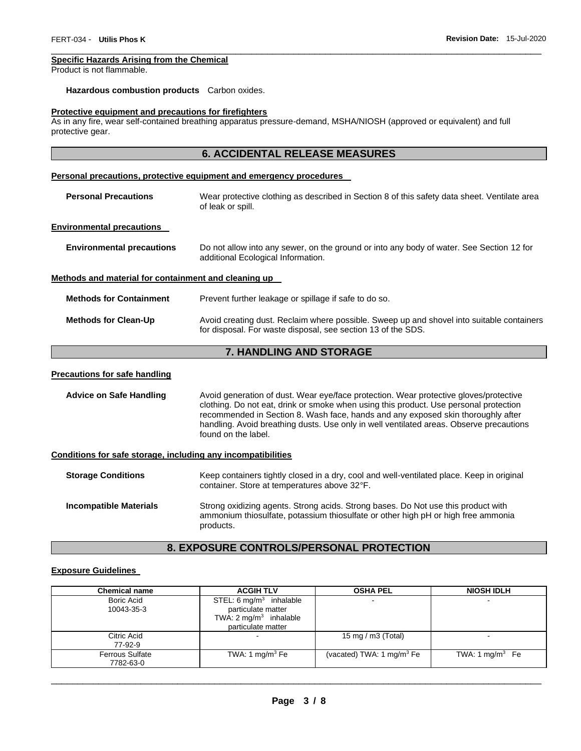# **Specific Hazards Arising from the Chemical**

Product is not flammable.

## **Hazardous combustion products** Carbon oxides.

#### **Protective equipment and precautions for firefighters**

As in any fire, wear self-contained breathing apparatus pressure-demand, MSHA/NIOSH (approved or equivalent) and full protective gear.

\_\_\_\_\_\_\_\_\_\_\_\_\_\_\_\_\_\_\_\_\_\_\_\_\_\_\_\_\_\_\_\_\_\_\_\_\_\_\_\_\_\_\_\_\_\_\_\_\_\_\_\_\_\_\_\_\_\_\_\_\_\_\_\_\_\_\_\_\_\_\_\_\_\_\_\_\_\_\_\_\_\_\_\_\_\_\_\_\_\_\_\_\_

|                                                              | <b>6. ACCIDENTAL RELEASE MEASURES</b>                                                                                                                                                                                                                                                                                                                                                |  |
|--------------------------------------------------------------|--------------------------------------------------------------------------------------------------------------------------------------------------------------------------------------------------------------------------------------------------------------------------------------------------------------------------------------------------------------------------------------|--|
|                                                              | Personal precautions, protective equipment and emergency procedures                                                                                                                                                                                                                                                                                                                  |  |
| <b>Personal Precautions</b>                                  | Wear protective clothing as described in Section 8 of this safety data sheet. Ventilate area<br>of leak or spill.                                                                                                                                                                                                                                                                    |  |
| <b>Environmental precautions</b>                             |                                                                                                                                                                                                                                                                                                                                                                                      |  |
| <b>Environmental precautions</b>                             | Do not allow into any sewer, on the ground or into any body of water. See Section 12 for<br>additional Ecological Information.                                                                                                                                                                                                                                                       |  |
| Methods and material for containment and cleaning up         |                                                                                                                                                                                                                                                                                                                                                                                      |  |
| <b>Methods for Containment</b>                               | Prevent further leakage or spillage if safe to do so.                                                                                                                                                                                                                                                                                                                                |  |
| <b>Methods for Clean-Up</b>                                  | Avoid creating dust. Reclaim where possible. Sweep up and shovel into suitable containers<br>for disposal. For waste disposal, see section 13 of the SDS.                                                                                                                                                                                                                            |  |
|                                                              | 7. HANDLING AND STORAGE                                                                                                                                                                                                                                                                                                                                                              |  |
| <b>Precautions for safe handling</b>                         |                                                                                                                                                                                                                                                                                                                                                                                      |  |
| <b>Advice on Safe Handling</b>                               | Avoid generation of dust. Wear eye/face protection. Wear protective gloves/protective<br>clothing. Do not eat, drink or smoke when using this product. Use personal protection<br>recommended in Section 8. Wash face, hands and any exposed skin thoroughly after<br>handling. Avoid breathing dusts. Use only in well ventilated areas. Observe precautions<br>found on the label. |  |
| Conditions for safe storage, including any incompatibilities |                                                                                                                                                                                                                                                                                                                                                                                      |  |
| <b>Storage Conditions</b>                                    | Keep containers tightly closed in a dry, cool and well-ventilated place. Keep in original<br>container. Store at temperatures above 32°F.                                                                                                                                                                                                                                            |  |

### **Incompatible Materials** Strong oxidizing agents. Strong acids. Strong bases. Do Not use this product with ammonium thiosulfate, potassium thiosulfate or other high pH or high free ammonia products.

# **8. EXPOSURE CONTROLS/PERSONAL PROTECTION**

#### **Exposure Guidelines**

| <b>Chemical name</b>                | <b>ACGIH TLV</b>                                                                                                    | <b>OSHA PEL</b>             | <b>NIOSH IDLH</b>          |
|-------------------------------------|---------------------------------------------------------------------------------------------------------------------|-----------------------------|----------------------------|
| <b>Boric Acid</b><br>10043-35-3     | STEL: $6 \text{ mg/m}^3$ inhalable<br>particulate matter<br>TWA: $2 \text{ mg/m}^3$ inhalable<br>particulate matter | $\overline{\phantom{a}}$    |                            |
| Citric Acid<br>77-92-9              |                                                                                                                     | 15 mg / m $3$ (Total)       |                            |
| <b>Ferrous Sulfate</b><br>7782-63-0 | TWA: 1 mg/m $3$ Fe                                                                                                  | (vacated) TWA: 1 $mq/m3 Fe$ | TWA: $1 \text{ mg/m}^3$ Fe |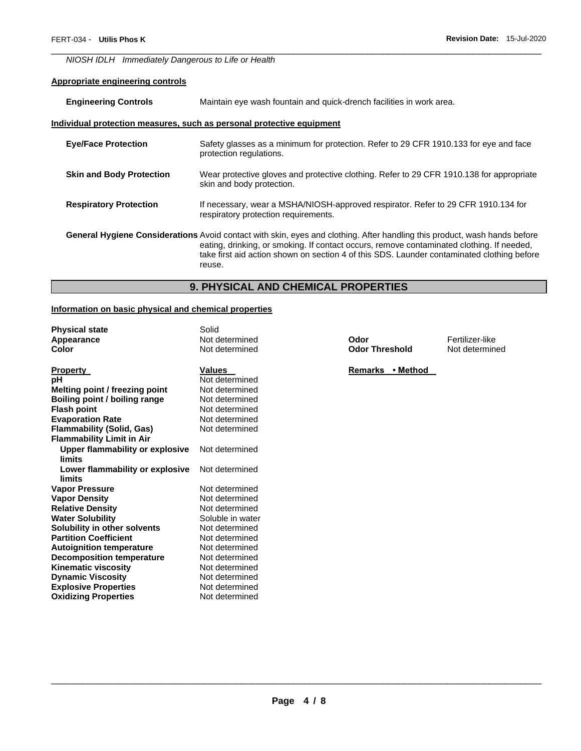*NIOSH IDLH Immediately Dangerous to Life or Health* 

# **Appropriate engineering controls**

| <b>Engineering Controls</b>     | Maintain eye wash fountain and quick-drench facilities in work area.                                                                                                                                                                                                                                                           |
|---------------------------------|--------------------------------------------------------------------------------------------------------------------------------------------------------------------------------------------------------------------------------------------------------------------------------------------------------------------------------|
|                                 | Individual protection measures, such as personal protective equipment                                                                                                                                                                                                                                                          |
| <b>Eye/Face Protection</b>      | Safety glasses as a minimum for protection. Refer to 29 CFR 1910.133 for eye and face<br>protection regulations.                                                                                                                                                                                                               |
| <b>Skin and Body Protection</b> | Wear protective gloves and protective clothing. Refer to 29 CFR 1910.138 for appropriate<br>skin and body protection.                                                                                                                                                                                                          |
| <b>Respiratory Protection</b>   | If necessary, wear a MSHA/NIOSH-approved respirator. Refer to 29 CFR 1910.134 for<br>respiratory protection requirements.                                                                                                                                                                                                      |
|                                 | General Hygiene Considerations Avoid contact with skin, eyes and clothing. After handling this product, wash hands before<br>eating, drinking, or smoking. If contact occurs, remove contaminated clothing. If needed,<br>take first aid action shown on section 4 of this SDS. Launder contaminated clothing before<br>reuse. |

\_\_\_\_\_\_\_\_\_\_\_\_\_\_\_\_\_\_\_\_\_\_\_\_\_\_\_\_\_\_\_\_\_\_\_\_\_\_\_\_\_\_\_\_\_\_\_\_\_\_\_\_\_\_\_\_\_\_\_\_\_\_\_\_\_\_\_\_\_\_\_\_\_\_\_\_\_\_\_\_\_\_\_\_\_\_\_\_\_\_\_\_\_

# **9. PHYSICAL AND CHEMICAL PROPERTIES**

# **Information on basic physical and chemical properties**

| <b>Physical state</b>                  | Solid            |
|----------------------------------------|------------------|
| <b>Appearance</b>                      | Not determined   |
| Color                                  | Not determined   |
| Property                               | <b>Values</b>    |
| pН                                     | Not determined   |
| Melting point / freezing point         | Not determined   |
| Boiling point / boiling range          | Not determined   |
| <b>Flash point</b>                     | Not determined   |
| <b>Evaporation Rate</b>                | Not determined   |
| <b>Flammability (Solid, Gas)</b>       | Not determined   |
| <b>Flammability Limit in Air</b>       |                  |
| <b>Upper flammability or explosive</b> | Not determined   |
| limits                                 |                  |
| Lower flammability or explosive        | Not determined   |
| limits                                 |                  |
| <b>Vapor Pressure</b>                  | Not determined   |
| <b>Vapor Density</b>                   | Not determined   |
| <b>Relative Density</b>                | Not determined   |
| <b>Water Solubility</b>                | Soluble in water |
| Solubility in other solvents           | Not determined   |
| <b>Partition Coefficient</b>           | Not determined   |
| <b>Autoignition temperature</b>        | Not determined   |
| <b>Decomposition temperature</b>       | Not determined   |
| Kinematic viscosity                    | Not determined   |
| <b>Dynamic Viscosity</b>               | Not determined   |
| <b>Explosive Properties</b>            | Not determined   |
| <b>Oxidizing Properties</b>            | Not determined   |

**Apple There is a Codor Codor Threshold** Fertilizer-like<br> **A** Not determined **Odor Threshold** 

**Remarks • Method**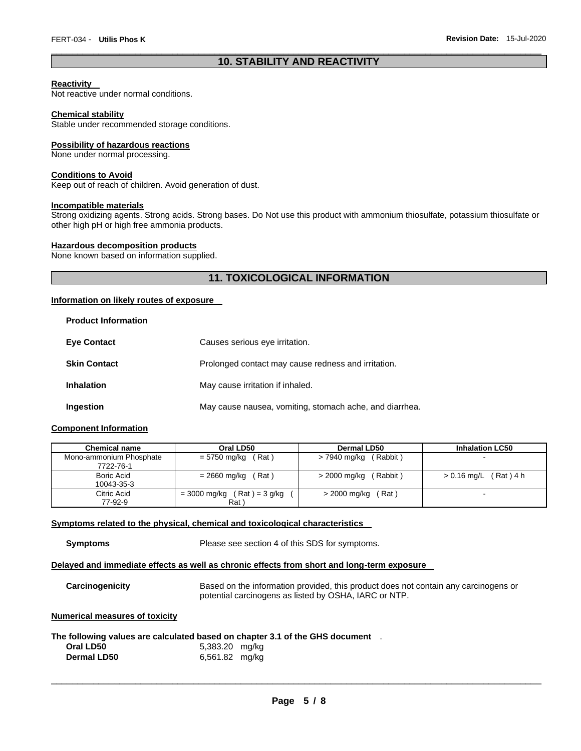# \_\_\_\_\_\_\_\_\_\_\_\_\_\_\_\_\_\_\_\_\_\_\_\_\_\_\_\_\_\_\_\_\_\_\_\_\_\_\_\_\_\_\_\_\_\_\_\_\_\_\_\_\_\_\_\_\_\_\_\_\_\_\_\_\_\_\_\_\_\_\_\_\_\_\_\_\_\_\_\_\_\_\_\_\_\_\_\_\_\_\_\_\_ **10. STABILITY AND REACTIVITY**

### **Reactivity**

Not reactive under normal conditions.

#### **Chemical stability**

Stable under recommended storage conditions.

#### **Possibility of hazardous reactions**

None under normal processing.

#### **Conditions to Avoid**

Keep out of reach of children. Avoid generation of dust.

# **Incompatible materials**

Strong oxidizing agents. Strong acids. Strong bases. Do Not use this product with ammonium thiosulfate, potassium thiosulfate or other high pH or high free ammonia products.

#### **Hazardous decomposition products**

None known based on information supplied.

# **11. TOXICOLOGICAL INFORMATION**

### **Information on likely routes of exposure**

| <b>Eye Contact</b>  | Causes serious eye irritation.                          |
|---------------------|---------------------------------------------------------|
| <b>Skin Contact</b> | Prolonged contact may cause redness and irritation.     |
| <b>Inhalation</b>   | May cause irritation if inhaled.                        |
| Ingestion           | May cause nausea, vomiting, stomach ache, and diarrhea. |

### **Component Information**

| <b>Chemical name</b>                 | Oral LD50                        | Dermal LD50              | <b>Inhalation LC50</b>  |
|--------------------------------------|----------------------------------|--------------------------|-------------------------|
| Mono-ammonium Phosphate<br>7722-76-1 | = 5750 mg/kg<br>(Rat)            | (Rabbit)<br>> 7940 mg/kg |                         |
|                                      |                                  |                          |                         |
| Boric Acid                           | = 2660 mg/kg<br>(Rat)            | (Rabbit)<br>> 2000 mg/kg | $> 0.16$ mg/L (Rat) 4 h |
| 10043-35-3                           |                                  |                          |                         |
| Citric Acid                          | $(Rat) = 3 g/kg$<br>= 3000 mg/kg | (Rat i<br>> 2000 mg/kg   | $\sim$                  |
| 77-92-9                              | Rat \                            |                          |                         |

#### **Symptoms related to the physical, chemical and toxicological characteristics**

**Symptoms** Please see section 4 of this SDS for symptoms.

#### **Delayed and immediate effects as well as chronic effects from short and long-term exposure**

| <b>Carcinogenicity</b> | Based on the information provided, this product does not contain any carcinogens or |
|------------------------|-------------------------------------------------------------------------------------|
|                        | potential carcinogens as listed by OSHA, IARC or NTP.                               |

# **Numerical measures of toxicity**

#### **The following values are calculated based on chapter 3.1 of the GHS document** .

| Oral LD50          | 5,383.20 mg/kg |
|--------------------|----------------|
| <b>Dermal LD50</b> | 6,561.82 mg/kg |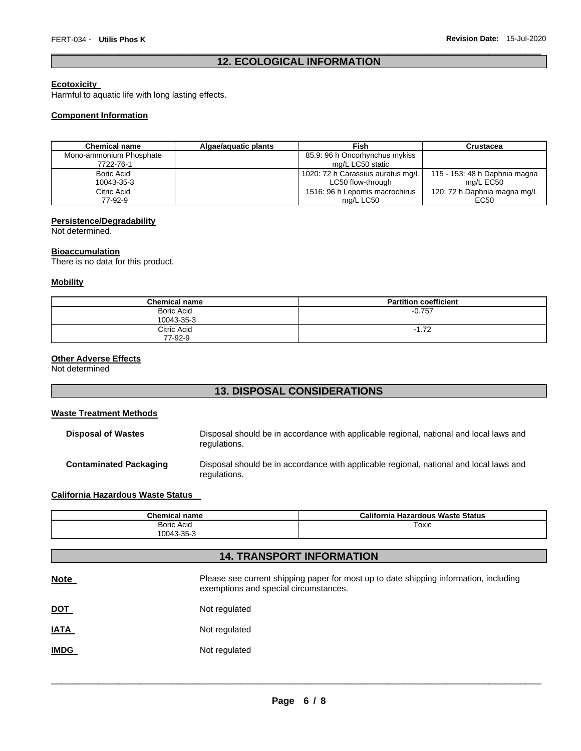# \_\_\_\_\_\_\_\_\_\_\_\_\_\_\_\_\_\_\_\_\_\_\_\_\_\_\_\_\_\_\_\_\_\_\_\_\_\_\_\_\_\_\_\_\_\_\_\_\_\_\_\_\_\_\_\_\_\_\_\_\_\_\_\_\_\_\_\_\_\_\_\_\_\_\_\_\_\_\_\_\_\_\_\_\_\_\_\_\_\_\_\_\_ **12. ECOLOGICAL INFORMATION**

## **Ecotoxicity**

Harmful to aquatic life with long lasting effects.

## **Component Information**

| <b>Chemical name</b>    | Algae/aguatic plants | Fish                              | Crustacea                     |
|-------------------------|----------------------|-----------------------------------|-------------------------------|
| Mono-ammonium Phosphate |                      | 85.9: 96 h Oncorhynchus mykiss    |                               |
| 7722-76-1               |                      | mg/L LC50 static                  |                               |
| Boric Acid              |                      | 1020: 72 h Carassius auratus mg/L | 115 - 153: 48 h Daphnia magna |
| 10043-35-3              |                      | LC50 flow-through                 | mg/L EC50                     |
| Citric Acid             |                      | 1516: 96 h Lepomis macrochirus    | 120: 72 h Daphnia magna mg/L  |
| 77-92-9                 |                      | mg/L LC50                         | EC50                          |

# **Persistence/Degradability**

Not determined.

# **Bioaccumulation**

There is no data for this product.

## **Mobility**

| <b>Chemical name</b>            | <b>Partition coefficient</b> |
|---------------------------------|------------------------------|
| <b>Boric Acid</b><br>10043-35-3 | $-0.757$                     |
| Citric Acid<br>77-92-9          | $-1.72$                      |

# **Other Adverse Effects**

Not determined

# **13. DISPOSAL CONSIDERATIONS**

# **Waste Treatment Methods**

| <b>Disposal of Wastes</b>     | Disposal should be in accordance with applicable regional, national and local laws and<br>regulations. |
|-------------------------------|--------------------------------------------------------------------------------------------------------|
| <b>Contaminated Packaging</b> | Disposal should be in accordance with applicable regional, national and local laws and<br>regulations. |

## **California Hazardous Waste Status**

| <b>Chemical</b><br>name | California<br><b>Hazardous Waste Status</b> |
|-------------------------|---------------------------------------------|
| <b>Boric Acid</b>       | Toxic                                       |
| 10043-35-3              |                                             |

| <b>14. TRANSPORT INFORMATION</b> |                                                                                                                                |  |  |  |
|----------------------------------|--------------------------------------------------------------------------------------------------------------------------------|--|--|--|
| <b>Note</b>                      | Please see current shipping paper for most up to date shipping information, including<br>exemptions and special circumstances. |  |  |  |
| <u>DOT</u>                       | Not regulated                                                                                                                  |  |  |  |
| <u>IATA</u>                      | Not regulated                                                                                                                  |  |  |  |
| <b>IMDG</b>                      | Not regulated                                                                                                                  |  |  |  |
|                                  |                                                                                                                                |  |  |  |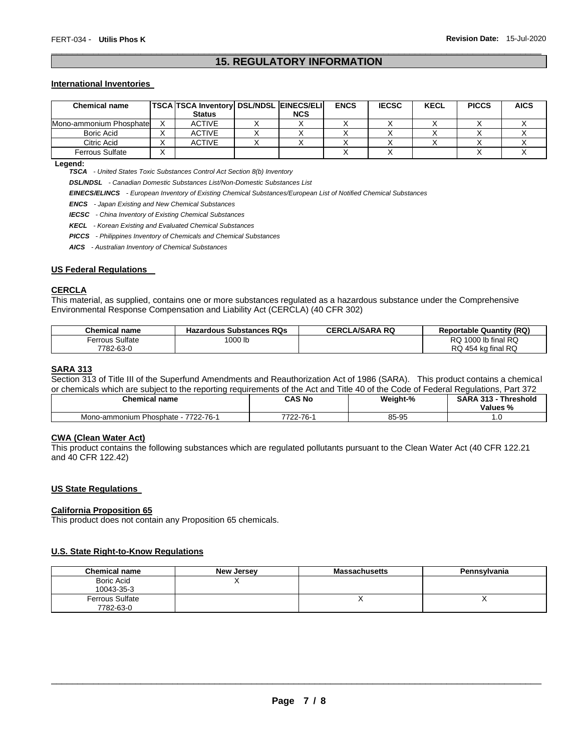# \_\_\_\_\_\_\_\_\_\_\_\_\_\_\_\_\_\_\_\_\_\_\_\_\_\_\_\_\_\_\_\_\_\_\_\_\_\_\_\_\_\_\_\_\_\_\_\_\_\_\_\_\_\_\_\_\_\_\_\_\_\_\_\_\_\_\_\_\_\_\_\_\_\_\_\_\_\_\_\_\_\_\_\_\_\_\_\_\_\_\_\_\_ **15. REGULATORY INFORMATION**

#### **International Inventories**

| Chemical name           | TSCA TSCA Inventory   DSL/NDSL   EINECS/ELI  <br><b>Status</b> | <b>NCS</b> | <b>ENCS</b> | <b>IECSC</b> | <b>KECL</b> | <b>PICCS</b> | <b>AICS</b> |
|-------------------------|----------------------------------------------------------------|------------|-------------|--------------|-------------|--------------|-------------|
| Mono-ammonium Phosphate | <b>ACTIVE</b>                                                  |            |             |              |             |              |             |
| Boric Acid              | <b>ACTIVE</b>                                                  |            |             |              |             |              |             |
| Citric Acid             | <b>ACTIVE</b>                                                  |            |             |              |             |              |             |
| <b>Ferrous Sulfate</b>  |                                                                |            |             |              |             |              |             |

**Legend:** 

*TSCA - United States Toxic Substances Control Act Section 8(b) Inventory* 

*DSL/NDSL - Canadian Domestic Substances List/Non-Domestic Substances List* 

*EINECS/ELINCS - European Inventory of Existing Chemical Substances/European List of Notified Chemical Substances* 

*ENCS - Japan Existing and New Chemical Substances* 

*IECSC - China Inventory of Existing Chemical Substances* 

*KECL - Korean Existing and Evaluated Chemical Substances* 

*PICCS - Philippines Inventory of Chemicals and Chemical Substances* 

*AICS - Australian Inventory of Chemical Substances* 

### **US Federal Regulations**

# **CERCLA**

This material, as supplied, contains one or more substances regulated as a hazardous substance under the Comprehensive Environmental Response Compensation and Liability Act (CERCLA) (40 CFR 302)

| Chemical name          | <b>Hazardous Substances RQs</b> | <b>CERCLA/SARA RQ</b> | <b>Reportable Quantity (RQ)</b>  |
|------------------------|---------------------------------|-----------------------|----------------------------------|
| <b>Ferrous Sulfate</b> | 1000 lb                         |                       | $\alpha$ 1000 lb final RQ<br>RQ. |
| 7782-63-0              |                                 |                       | RQ 454 kg final RQ               |

# **SARA 313**

Section 313 of Title III of the Superfund Amendments and Reauthorization Act of 1986 (SARA). This product contains a chemical or chemicals which are subject to the reporting requirements of the Act and Title 40 of the Code of Federal Regulations, Part 372

| <b>Chemical name</b>                                | CAS No          | Weight-% | Threshold<br><b>GADA</b><br>242<br>Values %<br>70 |
|-----------------------------------------------------|-----------------|----------|---------------------------------------------------|
| . 22-76-1<br>Phosphate - ,<br>7700<br>Mono-ammonium | ラフロウ<br>-2-76-1 | 85-95    | . v                                               |

# **CWA (Clean Water Act)**

This product contains the following substances which are regulated pollutants pursuant to the Clean Water Act (40 CFR 122.21 and 40 CFR 122.42)

#### **US State Regulations**

#### **California Proposition 65**

This product does not contain any Proposition 65 chemicals.

#### **U.S. State Right-to-Know Regulations**

| <b>Chemical name</b>                | <b>New Jersey</b> | <b>Massachusetts</b>     | Pennsylvania |
|-------------------------------------|-------------------|--------------------------|--------------|
| Boric Acid<br>10043-35-3            |                   |                          |              |
| <b>Ferrous Sulfate</b><br>7782-63-0 |                   | $\overline{\phantom{a}}$ |              |